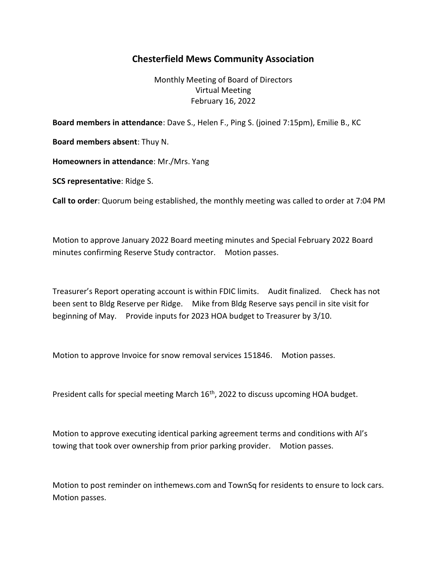## Chesterfield Mews Community Association

Monthly Meeting of Board of Directors Virtual Meeting February 16, 2022

Board members in attendance: Dave S., Helen F., Ping S. (joined 7:15pm), Emilie B., KC

Board members absent: Thuy N.

Homeowners in attendance: Mr./Mrs. Yang

SCS representative: Ridge S.

Call to order: Quorum being established, the monthly meeting was called to order at 7:04 PM

Motion to approve January 2022 Board meeting minutes and Special February 2022 Board minutes confirming Reserve Study contractor. Motion passes.

Treasurer's Report operating account is within FDIC limits. Audit finalized. Check has not been sent to Bldg Reserve per Ridge. Mike from Bldg Reserve says pencil in site visit for beginning of May. Provide inputs for 2023 HOA budget to Treasurer by 3/10.

Motion to approve Invoice for snow removal services 151846. Motion passes.

President calls for special meeting March 16<sup>th</sup>, 2022 to discuss upcoming HOA budget.

Motion to approve executing identical parking agreement terms and conditions with Al's towing that took over ownership from prior parking provider. Motion passes.

Motion to post reminder on inthemews.com and TownSq for residents to ensure to lock cars. Motion passes.